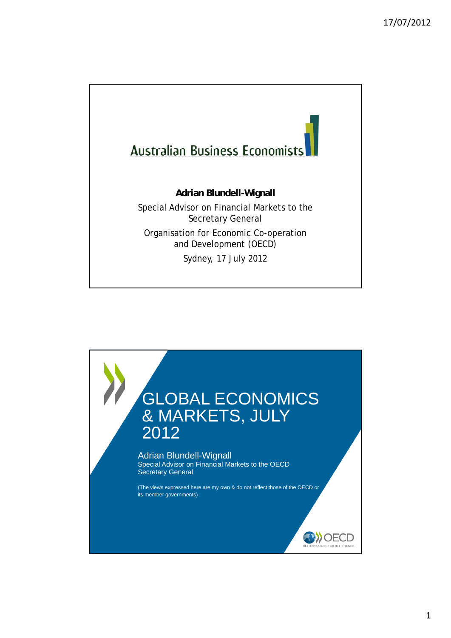

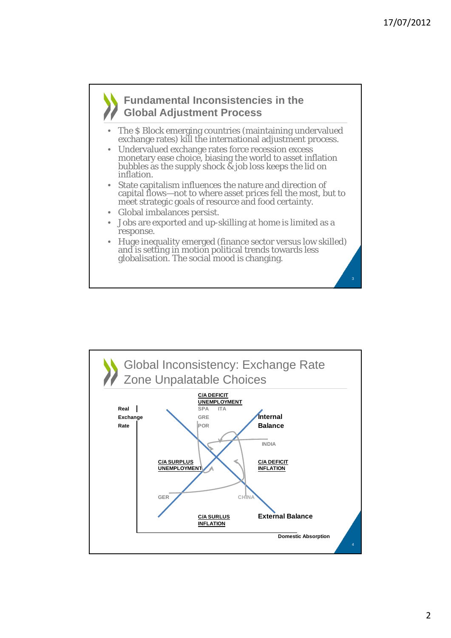### **Fundamental Inconsistencies in the Global Adjustment Process**

- The \$ Block emerging countries (maintaining undervalued exchange rates) kill the international adjustment process.
- Undervalued exchange rates force recession excess monetary ease choice, biasing the world to asset inflation bubbles as the supply shock  $\&$  job loss keeps the lid on inflation.
- State capitalism influences the nature and direction of capital flows—not to where asset prices fell the most, but to meet strategic goals of resource and food certainty.
- Global imbalances persist.
- Jobs are exported and up-skilling at home is limited as a response.
- Huge inequality emerged (finance sector versus low skilled) and is setting in motion political trends towards less globalisation. The social mood is changing.

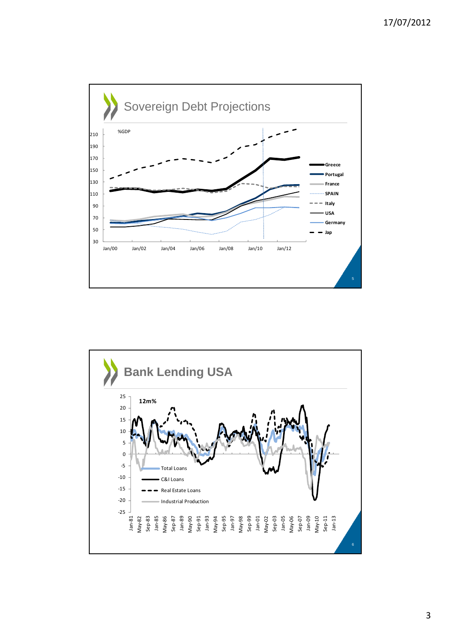

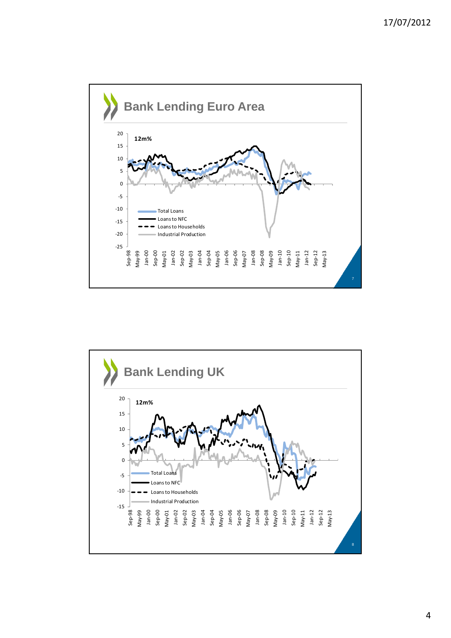

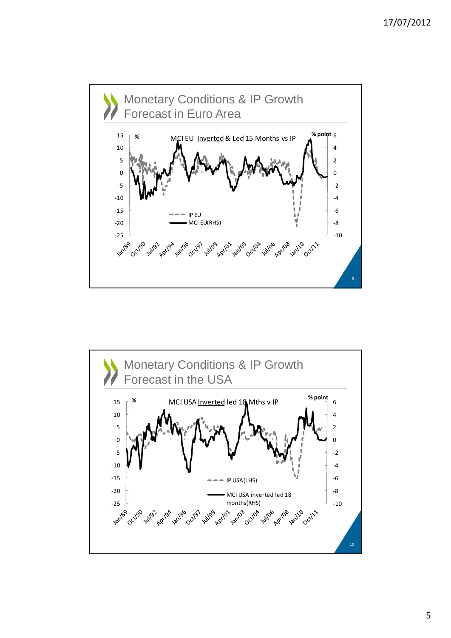

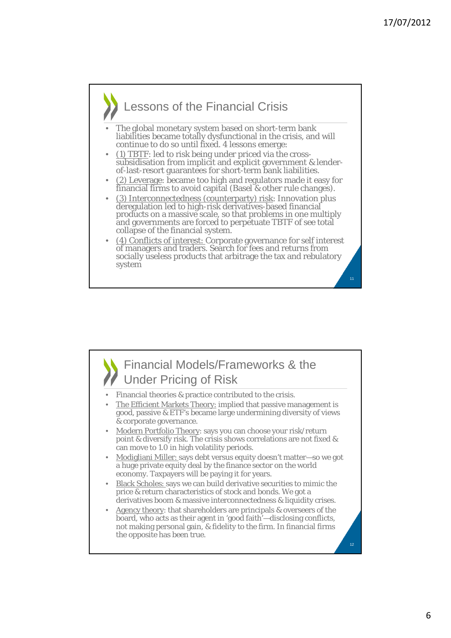# Lessons of the Financial Crisis

- The global monetary system based on short-term bank liabilities became totally dysfunctional in the crisis, and will continue to do so until fixed. 4 lessons emerge:
- (1) TBTF: led to risk being under priced via the crosssubsidisation from implicit and explicit government & lender- of-last-resort guarantees for short-term bank liabilities.
- (2) Leverage: became too high and regulators made it easy for financial firms to avoid capital (Basel & other rule changes).
- (3) Interconnectedness (counterparty) risk: Innovation plus deregulation led to high-risk derivatives-based financial products on a massive scale, so that problems in one multiply and governments are forced to perpetuate TBTF of see total collapse of the financial system.
- (4) Conflicts of interest: Corporate governance for self interest of managers and traders. Search for fees and returns from socially useless products that arbitrage the tax and rebulatory system

Financial Models/Frameworks & the Under Pricing of Risk 12 Financial theories & practice contributed to the crisis. The Efficient Markets Theory: implied that passive management is good, passive & ETF's became large undermining diversity of views & corporate governance. • Modern Portfolio Theory: says you can choose your risk/return point & diversify risk. The crisis shows correlations are not fixed & can move to 1.0 in high volatility periods. • Modigliani Miller: says debt versus equity doesn't matter—so we got a huge private equity deal by the finance sector on the world economy. Taxpayers will be paying it for years. • Black Scholes: says we can build derivative securities to mimic the price & return characteristics of stock and bonds. We got a derivatives boom & massive interconnectedness & liquidity crises. Agency theory: that shareholders are principals & overseers of the board, who acts as their agent in 'good faith'—disclosing conflicts, not making personal gain, & fidelity to the firm. In financial firms the opposite has been true.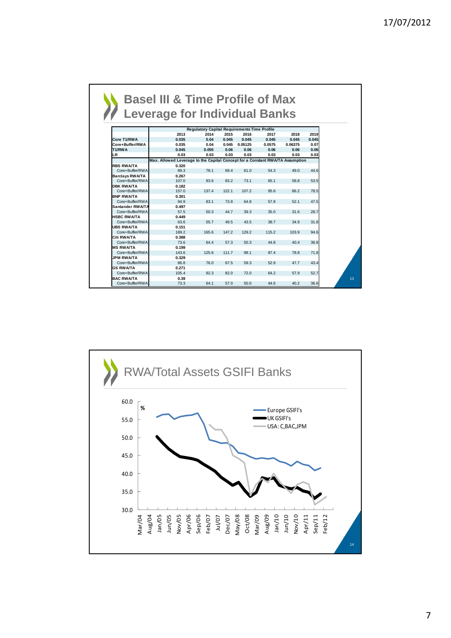| <b>Leverage for Individual Banks</b> |                                                                               |                                                     |       |               |        |         |       |
|--------------------------------------|-------------------------------------------------------------------------------|-----------------------------------------------------|-------|---------------|--------|---------|-------|
|                                      |                                                                               |                                                     |       |               |        |         |       |
|                                      |                                                                               |                                                     |       |               |        |         |       |
|                                      |                                                                               | <b>Regulatory Capital Requirements Time Profile</b> |       |               |        |         |       |
|                                      | 2013                                                                          | 2014                                                | 2015  | 2016          | 2017   | 2018    | 2019  |
| Core T1/RWA                          | 0.035                                                                         | 0.04                                                | 0.045 | 0.045         | 0.045  | 0.045   | 0.045 |
| Core+Buffer/RWA                      | 0.035                                                                         | 0.04                                                |       | 0.045 0.05125 | 0.0575 | 0.06375 | 0.07  |
| T1/RWA                               | 0.045                                                                         | 0.055                                               | 0.06  | 0.06          | 0.06   | 0.06    | 0.06  |
| LR.                                  | 0.03                                                                          | 0.03                                                | 0.03  | 0.03          | 0.03   | 0.03    | 0.03  |
|                                      | Max. Allowed Leverage to the Capital Concept for a Constant RWA/TA Assumption |                                                     |       |               |        |         |       |
| <b>RBS RWA/TA</b>                    | 0.320                                                                         |                                                     |       |               |        |         |       |
| Core+Buffer/RWA                      | 89.3                                                                          | 78.1                                                | 69.4  | 61.0          | 54.3   | 49.0    | 44.6  |
| <b>Barclays RWA/TA</b>               | 0.267                                                                         |                                                     |       |               |        |         |       |
| Core+Buffer/RWA                      | 107.0                                                                         | 93.6                                                | 83.2  | 73.1          | 65.1   | 58.8    | 53.5  |
| <b>DBK RWA/TA</b>                    | 0.182                                                                         |                                                     |       |               |        |         |       |
| Core+Buffer/RWA                      | 157.0                                                                         | 137.4                                               | 122.1 | 107.2         | 95.6   | 86.2    | 78.5  |
| <b>BNP RWA/TA</b>                    | 0.301                                                                         |                                                     |       |               |        |         |       |
| Core+Buffer/RWA                      | 94.9                                                                          | 83.1                                                | 73.8  | 64.8          | 57.8   | 52.1    | 47.5  |
| Santander RWA/TA                     | 0.497                                                                         |                                                     |       |               |        |         |       |
| Core+Buffer/RWA                      | 57.5                                                                          | 50.3                                                | 44.7  | 39.3          | 35.0   | 31.6    | 28.7  |
| <b>HSBC RWA/TA</b>                   | 0.449                                                                         |                                                     |       |               |        |         |       |
| Core+Buffer/RWA                      | 63.6                                                                          | 55.7                                                | 49.5  | 43.5          | 38.7   | 34.9    | 31.8  |
| <b>UBS RWA/TA</b>                    | 0.151                                                                         |                                                     |       |               |        |         |       |
| Core+Buffer/RWA                      | 189.2                                                                         | 165.6                                               | 147.2 | 129.2         | 115.2  | 103.9   | 94.6  |
| Citi RWA/TA                          | 0.388                                                                         |                                                     |       |               |        |         |       |
| Core+Buffer/RWA                      | 73.6                                                                          | 64.4                                                | 57.3  | 50.3          | 44.8   | 40.4    | 36.8  |
| <b>MS RWA/TA</b>                     | 0.199                                                                         |                                                     |       |               |        |         |       |
| Core+Buffer/RWA                      | 143.6                                                                         | 125.6                                               | 111.7 | 98.1          | 87.4   | 78.8    | 71.8  |
| <b>JPM RWA/TA</b>                    | 0.329                                                                         |                                                     |       |               |        |         |       |
| Core+Buffer/RWA                      | 86.8                                                                          | 76.0                                                | 67.5  | 59.3          | 52.9   | 47.7    | 43.4  |
| <b>GS RWA/TA</b>                     | 0.271                                                                         |                                                     |       |               |        |         |       |
| Core+Buffer/RWA                      | 105.4                                                                         | 92.3                                                | 82.0  | 72.0          | 64.2   | 57.9    | 52.7  |
| <b>BAC RWA/TA</b>                    | 0.39                                                                          |                                                     |       |               |        |         |       |
| Core+Buffer/RWA                      | 73.3                                                                          | 64.1                                                | 57.0  | 50.0          | 44.6   | 40.2    | 36.6  |

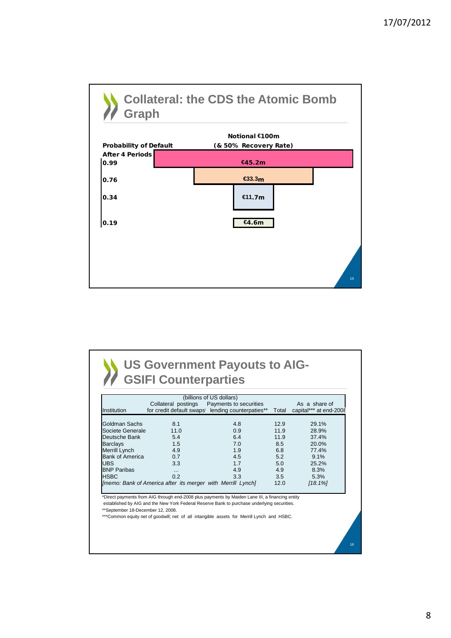

|                        |                                                             | (billions of US dollars)                          |       |                        |
|------------------------|-------------------------------------------------------------|---------------------------------------------------|-------|------------------------|
|                        | Collateral postings                                         | Payments to securities                            |       | As a share of          |
| Institution            |                                                             | for credit default swaps' lending counterpaties** | Total | capital*** at end-2008 |
| Goldman Sachs          | 8.1                                                         | 4.8                                               | 12.9  | 29.1%                  |
| Societe Generale       | 11.0                                                        | 0.9 <sup>°</sup>                                  | 11.9  | 28.9%                  |
| Deutsche Bank          | 5.4                                                         | 6.4                                               | 11.9  | 37.4%                  |
| Barclays               | 1.5                                                         | 7.0                                               | 8.5   | 20.0%                  |
| Merrill Lynch          | 4.9                                                         | 1.9                                               | 6.8   | 77.4%                  |
| <b>Bank of America</b> | 0.7                                                         | 4.5                                               | 5.2   | 9.1%                   |
| <b>UBS</b>             | 3.3                                                         | 1.7                                               | 5.0   | 25.2%                  |
| <b>BNP Paribas</b>     | $\cdots$                                                    | 4.9                                               | 4.9   | 8.3%                   |
| <b>HSBC</b>            | 0.2                                                         | 3.3                                               | 3.5   | 5.3%                   |
|                        | [memo: Bank of America after its merger with Merrill Lynch] |                                                   | 12.0  | [18.1%]                |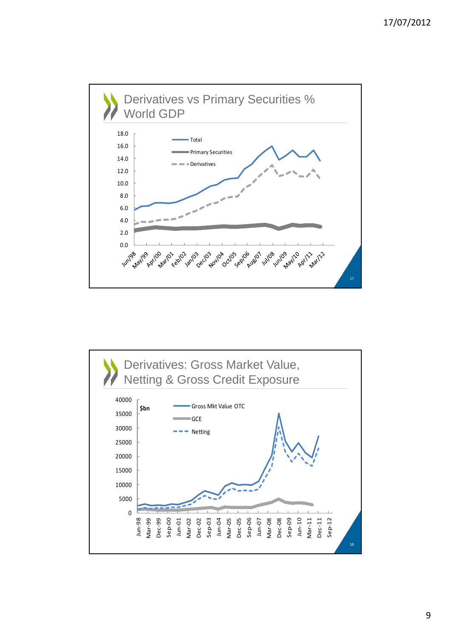

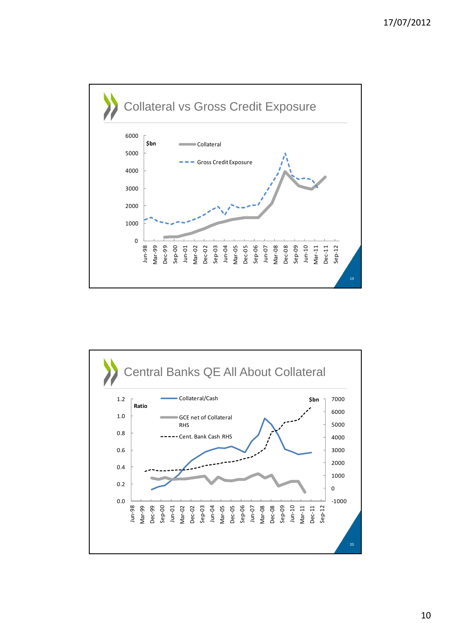

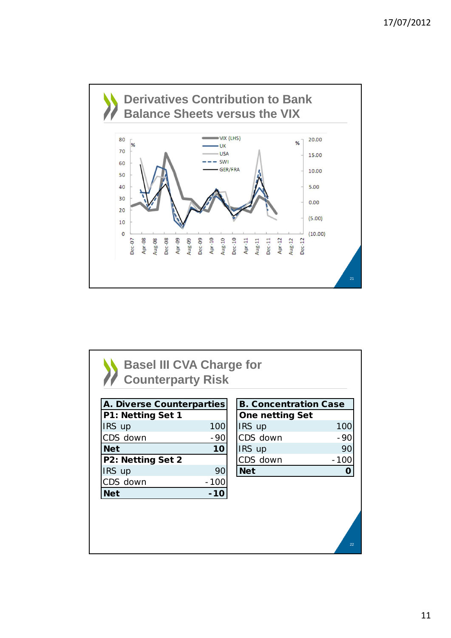

| A. Diverse Counterparties |        | <b>B. Concentration Case</b> |       |
|---------------------------|--------|------------------------------|-------|
| P1: Netting Set 1         |        | <b>One netting Set</b>       |       |
| IRS up                    | 100    | IRS up                       | 100   |
| CDS down                  | $-90$  | CDS down                     | - 90  |
| <b>Net</b>                | 10     | IRS up                       | 90    |
| P2: Netting Set 2         |        | CDS down                     | - 100 |
| IRS up                    | 90     | <b>Net</b>                   |       |
| CDS down                  | $-100$ |                              |       |
| <b>Net</b>                | $-10$  |                              |       |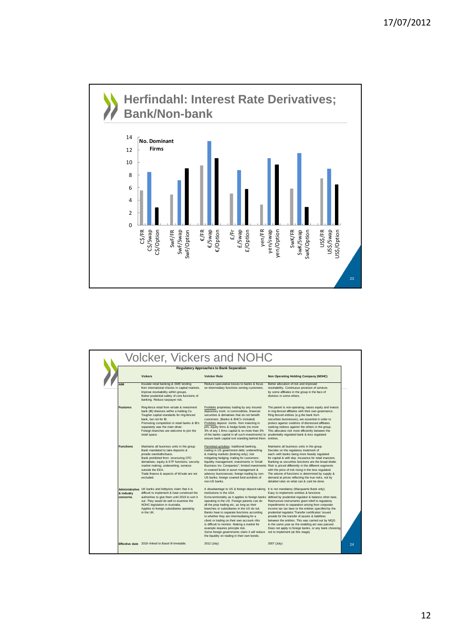

| <b>Vickers</b><br><b>Volcker Rule</b><br>Non Operating Holding Company (NOHC)<br>Insulate retail banking & SME lending<br>Reduce speculative losses to banks & focus<br>Better allocation of risk and improved<br><b>AIM</b><br>from international shocks in capital markets.<br>on intermediary functions serving customers.<br>resolvability. Continuous provision of services<br>Improve resolvability within groups.<br>by some affiliates in the group in the face of<br>Better prudential safety of core functions of<br>distress in some others.<br>banking. Reduce taxpayer risk.<br><b>Features</b><br>Ring-fence retail from w/sale & investment<br>Prohibits proprietary trading by any insured<br>in ring-fenced affilaites with their own governance.<br>bank (IB) divisions within a holding Co.<br>depository instit. in commodities, financial<br>Ring fenced entities (e.g.the bank from<br>Tougher capital standards for ring-fenced<br>securities & derivatives that do not benefit<br>bank, but not for IB.<br>customers. (Banks & BHC's included)<br>securities businesses), are essential in order to<br>Promoting competition in retail banks & IB's<br>Prohibits deposit. instits. from investing in<br>protect against creditors of distressed affiliates<br>separately was the main driver.<br>priv. equity firms & hedge funds (no more<br>seeking redress against the others in the group.<br>Foreign branches are welcome to join the<br>3% of any 1 firms capital & no more than 3%<br>This allocates risk more efficiently between the<br>retail space.<br>of the banks capital in all such investments) to<br>prudentially regulated bank & less regulated<br>ensure bank capital isnt standing behind them. entities.<br><b>Functions</b><br>Maintains all business units in the group.<br>Permitted activities: traditional banking,<br>Maintains all business units in the group.<br>Bank mandated to take deposits &<br>trading in US government debt; underwriting<br>Decides on the regulatory treatment of<br>provide overdrafts/loans.<br>& making markets (broking only); risk<br>each--with banks being more heavily regulated<br>Bank prohibited from: structuring OTC<br>mitigating hedging; trading for customers;<br>derivatives; equity & ETF functions; security<br>liquidity management; investments in 'Small<br>market making; underwriting; services<br>Business Inv. Companies"; limited investments<br>Risk is priced differently in the different segments<br>outside the EEA.<br>in covered funds in asset management &<br>with the price of risk rising in the less regulated.<br>Trade finance & aspects of W/sale are not<br>advisory busisnesses; foreign trading by non-<br>The volume of functions is determined by supply &<br>US banks; foreign covered fund activities of<br>demand at prices reflecting the true risks, not by<br>hebuloxe<br>detailed rules on what can & cant be done.<br>non-US hanks.<br>Administrative UK banks and lobbyists claim that it is<br>A disadvantage to US & foreign deposit-taking<br>It is not mandatory (Macquarrie Bank only).<br>& industry<br>difficult to implement & have convinced the<br>institutions in the USA<br>Easy to implement-entities & functions<br>concerns.<br>authorities to give them until 2019 to sort it<br>Extra-territoriality as it applies to foreign banks<br>operating in the US. Foreign parents can do<br>out. They would do well to examine the<br>Restructure instruments grant relief to regulatory<br>NOHC legislation in Australia.<br>all the prop trading etc, as long as their<br>impediments to separation arising from corporate<br>Applies to foreign subsidiaries operating<br>branches or subsidiaries in the US do not.<br>in the UK.<br>Banks have to separate functions according<br>prudential regulator. Transfer certificates' issued | <b>Regulatory Approaches to Bank Separation</b> |                                          |                                                                                                                                                                    |  |  |
|------------------------------------------------------------------------------------------------------------------------------------------------------------------------------------------------------------------------------------------------------------------------------------------------------------------------------------------------------------------------------------------------------------------------------------------------------------------------------------------------------------------------------------------------------------------------------------------------------------------------------------------------------------------------------------------------------------------------------------------------------------------------------------------------------------------------------------------------------------------------------------------------------------------------------------------------------------------------------------------------------------------------------------------------------------------------------------------------------------------------------------------------------------------------------------------------------------------------------------------------------------------------------------------------------------------------------------------------------------------------------------------------------------------------------------------------------------------------------------------------------------------------------------------------------------------------------------------------------------------------------------------------------------------------------------------------------------------------------------------------------------------------------------------------------------------------------------------------------------------------------------------------------------------------------------------------------------------------------------------------------------------------------------------------------------------------------------------------------------------------------------------------------------------------------------------------------------------------------------------------------------------------------------------------------------------------------------------------------------------------------------------------------------------------------------------------------------------------------------------------------------------------------------------------------------------------------------------------------------------------------------------------------------------------------------------------------------------------------------------------------------------------------------------------------------------------------------------------------------------------------------------------------------------------------------------------------------------------------------------------------------------------------------------------------------------------------------------------------------------------------------------------------------------------------------------------------------------------------------------------------------------------------------------------------------------------------------------------------------------------------------------------------------------------------------------------------------------------------------------------------------------------------------------------------------------------------------------------------------------------------------------------------------------------------------------------------------------------------------------------------------------------------------------------------------------------------------------------------------------------------------------------|-------------------------------------------------|------------------------------------------|--------------------------------------------------------------------------------------------------------------------------------------------------------------------|--|--|
| for capital & with dep. insurance for retail investors.                                                                                                                                                                                                                                                                                                                                                                                                                                                                                                                                                                                                                                                                                                                                                                                                                                                                                                                                                                                                                                                                                                                                                                                                                                                                                                                                                                                                                                                                                                                                                                                                                                                                                                                                                                                                                                                                                                                                                                                                                                                                                                                                                                                                                                                                                                                                                                                                                                                                                                                                                                                                                                                                                                                                                                                                                                                                                                                                                                                                                                                                                                                                                                                                                                                                                                                                                                                                                                                                                                                                                                                                                                                                                                                                                                                                                                        |                                                 |                                          |                                                                                                                                                                    |  |  |
| income tax tax laws to the entities specified by the                                                                                                                                                                                                                                                                                                                                                                                                                                                                                                                                                                                                                                                                                                                                                                                                                                                                                                                                                                                                                                                                                                                                                                                                                                                                                                                                                                                                                                                                                                                                                                                                                                                                                                                                                                                                                                                                                                                                                                                                                                                                                                                                                                                                                                                                                                                                                                                                                                                                                                                                                                                                                                                                                                                                                                                                                                                                                                                                                                                                                                                                                                                                                                                                                                                                                                                                                                                                                                                                                                                                                                                                                                                                                                                                                                                                                                           |                                                 |                                          |                                                                                                                                                                    |  |  |
|                                                                                                                                                                                                                                                                                                                                                                                                                                                                                                                                                                                                                                                                                                                                                                                                                                                                                                                                                                                                                                                                                                                                                                                                                                                                                                                                                                                                                                                                                                                                                                                                                                                                                                                                                                                                                                                                                                                                                                                                                                                                                                                                                                                                                                                                                                                                                                                                                                                                                                                                                                                                                                                                                                                                                                                                                                                                                                                                                                                                                                                                                                                                                                                                                                                                                                                                                                                                                                                                                                                                                                                                                                                                                                                                                                                                                                                                                                |                                                 |                                          | The parent is non-operating, raises equity and invests                                                                                                             |  |  |
|                                                                                                                                                                                                                                                                                                                                                                                                                                                                                                                                                                                                                                                                                                                                                                                                                                                                                                                                                                                                                                                                                                                                                                                                                                                                                                                                                                                                                                                                                                                                                                                                                                                                                                                                                                                                                                                                                                                                                                                                                                                                                                                                                                                                                                                                                                                                                                                                                                                                                                                                                                                                                                                                                                                                                                                                                                                                                                                                                                                                                                                                                                                                                                                                                                                                                                                                                                                                                                                                                                                                                                                                                                                                                                                                                                                                                                                                                                |                                                 |                                          | Banking vs securities functions are the broad divide.                                                                                                              |  |  |
| client or trading on their own account--this<br>between the entities. This was carried out by MQG<br>is difficult to monitor. Making a market for<br>in the same year as the enabling act was passed.<br>example requires principle risk.<br>Some foreign governments claim it will reduce<br>not to implement (at this stage).<br>the liquidity on trading in their own bonds.                                                                                                                                                                                                                                                                                                                                                                                                                                                                                                                                                                                                                                                                                                                                                                                                                                                                                                                                                                                                                                                                                                                                                                                                                                                                                                                                                                                                                                                                                                                                                                                                                                                                                                                                                                                                                                                                                                                                                                                                                                                                                                                                                                                                                                                                                                                                                                                                                                                                                                                                                                                                                                                                                                                                                                                                                                                                                                                                                                                                                                                                                                                                                                                                                                                                                                                                                                                                                                                                                                                |                                                 | to whether they are intermediating for a | defined by prudential regulator & balance other laws.<br>provide for the transfer of assets & liabilities<br>Does not apply to foreign banks, or any bank choosing |  |  |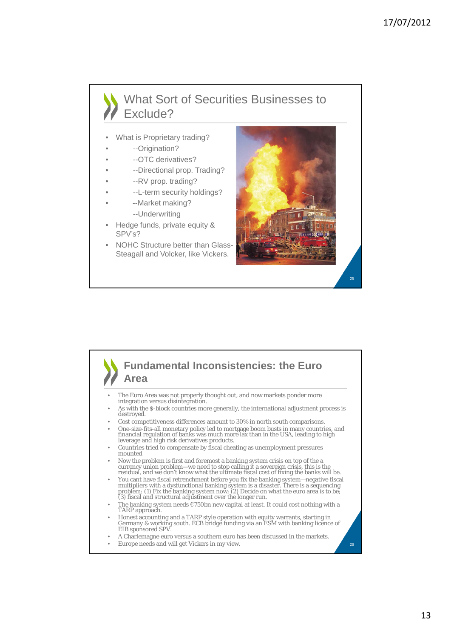### What Sort of Securities Businesses to Exclude?

- What is Proprietary trading?
	- --Origination?
- --OTC derivatives?
- --Directional prop. Trading?
- --RV prop. trading?
- --L-term security holdings?
- --Market making? --Underwriting
- Hedge funds, private equity & SPV's?
- NOHC Structure better than Glass-Steagall and Volcker, like Vickers.



### **Fundamental Inconsistencies: the Euro Area** 26 • The Euro Area was not properly thought out, and now markets ponder more integration versus disintegration. • As with the \$-block countries more generally, the international adjustment process is destroyed. Cost competitiveness differences amount to 30% in north south comparisons. • One-size-fits-all monetary policy led to mortgage boom busts in many countries, and financial regulation of banks was much more lax than in the USA, leading to high leverage and high risk derivatives products. • Countries tried to compensate by fiscal cheating as unemployment pressures mounted • Now the problem is first and foremost a banking system crisis on top of the a<br>currency union problem—we need to stop calling it a sovereign crisis, this is the<br>residual, and we don't know what the ultimate fiscal cost of • You cant have fiscal retrenchment before you fix the banking system—negative fiscal multipliers with a dysfunctional banking system is a disaster. There is a sequencing problem: (1) Fix the banking system now; (2) Decide • The banking system needs €750bn new capital at least. It could cost nothing with a TARP approach. • Honest accounting and a TARP style operation with equity warrants, starting in Germany & working south. ECB bridge funding via an ESM with banking licence of EIB sponsored SPV. • A Charlemagne euro versus a southern euro has been discussed in the markets. • Europe needs and will get Vickers in my view.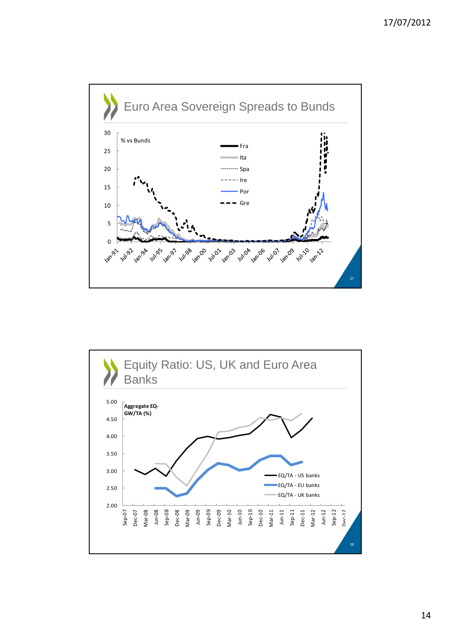

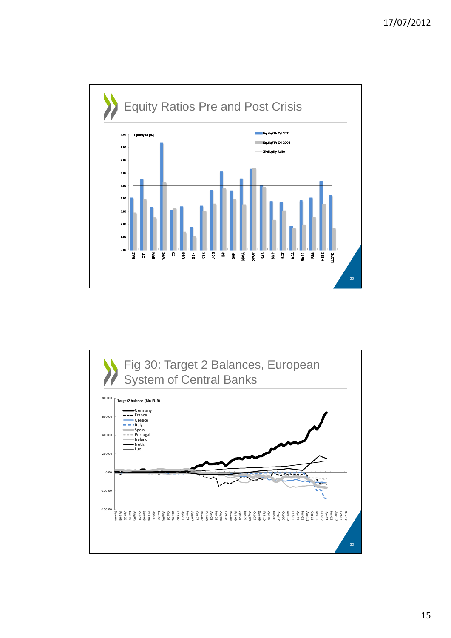

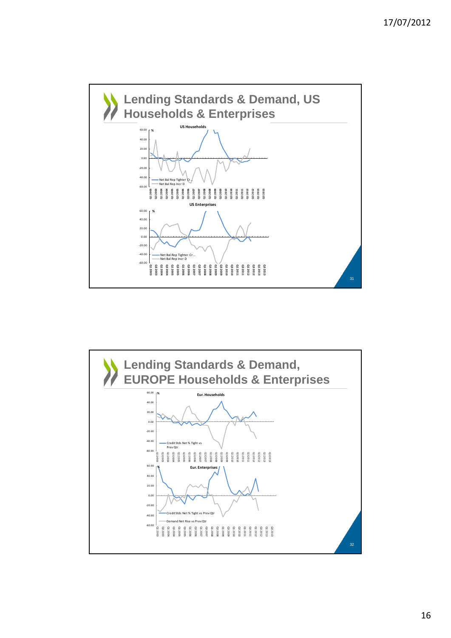

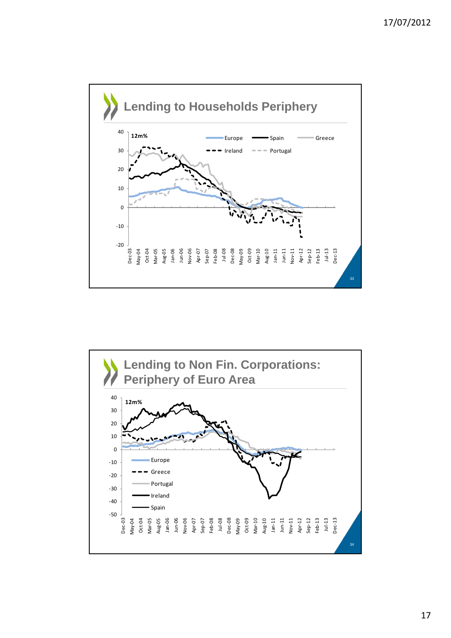

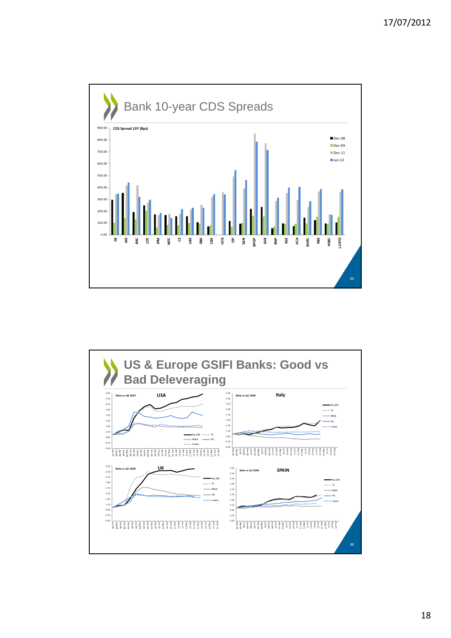

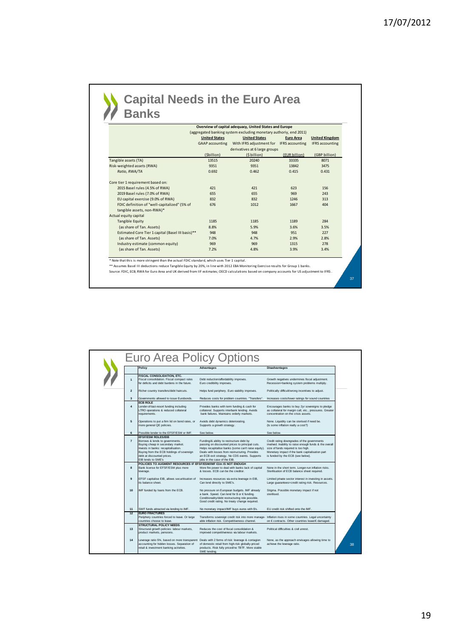## **Capital Needs in the Euro Area Banks**

|                                                   |                      | Overview of capital adequacy, United States and Europe            |                  |                        |
|---------------------------------------------------|----------------------|-------------------------------------------------------------------|------------------|------------------------|
|                                                   |                      | (aggregated banking system excluding monetary authoriy, end 2011) |                  |                        |
|                                                   | <b>United States</b> | <b>United States</b>                                              | <b>Euro Area</b> | <b>United Kingdom</b>  |
|                                                   | GAAP accounting      | With IFRS adjustment for                                          | IFRS accounting  | <b>IFRS accounting</b> |
|                                                   |                      | derivatives at 6 large groups                                     |                  |                        |
|                                                   | (\$billion)          | (\$billion)                                                       | (EUR billion)    | (GBP billion)          |
| Tangible assets (TA)                              | 13515                | 20240                                                             | 33335            | 8071                   |
| Risk-weighted assets (RWA)                        | 9351                 | 9351                                                              | 13842            | 3475                   |
| Ratio, RWA/TA                                     | 0.692                | 0.462                                                             | 0.415            | 0.431                  |
| Core tier 1 requirement based on:                 |                      |                                                                   |                  |                        |
| 2015 Basel rules (4.5% of RWA)                    | 421                  | 421                                                               | 623              | 156                    |
| 2019 Basel rules (7.0% of RWA)                    | 655                  | 655                                                               | 969              | 243                    |
| EU capital exercise (9.0% of RWA)                 | 832                  | 832                                                               | 1246             | 313                    |
| FDIC definition of "well-capitalized" (5% of      | 676                  | 1012                                                              | 1667             | 404                    |
| tangible assets, non-RWA)*                        |                      |                                                                   |                  |                        |
| Actual equity capital                             |                      |                                                                   |                  |                        |
| <b>Tangible Equity</b>                            | 1185                 | 1185                                                              | 1189             | 284                    |
| (as share of Tan. Assets)                         | 8.8%                 | 5.9%                                                              | 3.6%             | 3.5%                   |
| Estimated Core Tier 1 capital (Basel III basis)** | 948                  | 948                                                               | 951              | 227                    |
| (as share of Tan. Assets)                         | 7.0%                 | 4.7%                                                              | 2.9%             | 2.8%                   |
| Industry estimate (common equity)                 | 969                  | 969                                                               | 1315             | 278                    |
| (as share of Tan. Assets)                         | 7.2%                 | 4.8%                                                              | 3.9%             | 3.4%                   |

\* Note that this is more stringent than the actual FDIC standard, which uses Tier 1 capital.<br>\*\* Assumes Basel III deductions reduce Tangible Equity by 20%, in line with 2012 EBA Monitoring Exercise results for Group 1 bank

|                | <b>Policy</b>                                                                                                                                                                                                                             | Advantages                                                                                                                                                                                                                                                                            | <b>Disadvantages</b>                                                                                                                                                                                                                  |
|----------------|-------------------------------------------------------------------------------------------------------------------------------------------------------------------------------------------------------------------------------------------|---------------------------------------------------------------------------------------------------------------------------------------------------------------------------------------------------------------------------------------------------------------------------------------|---------------------------------------------------------------------------------------------------------------------------------------------------------------------------------------------------------------------------------------|
| $\mathbf{1}$   | <b>FISCAL CONSOLIDATION, ETC.</b><br>Fiscal consolidation. Fiscal compact rules<br>for deficits and debt burdens in the future.                                                                                                           | Debt reduction/affordability improves.<br>Euro credibility improves.                                                                                                                                                                                                                  | Growth negatives undermines fiscal adjustment.<br>Recession=banking system problems multiply.                                                                                                                                         |
| $\overline{2}$ | Richer country transfers/debt haircuts.                                                                                                                                                                                                   | Helps fund periphery. Euro viability improves.                                                                                                                                                                                                                                        | Politically difficult/wrong incentives to adjust.                                                                                                                                                                                     |
| 3              | Governments allowed to issue Eurobonds.                                                                                                                                                                                                   | Reduces costs for problem countries. "Transfers".                                                                                                                                                                                                                                     | Increases costs/lower ratings for sound countries                                                                                                                                                                                     |
| $\overline{4}$ | <b>ECB ROLE</b><br>Lender-of-last-resort funding including<br>LTRO operations & reduced collateral<br>equirements.                                                                                                                        | Provides banks with term funding & cash for<br>collateral. Supports interbank lending. Avoids<br>bank failures. Maintains orderly markets.                                                                                                                                            | Encourages banks to buy 2yr sovereigns to pledge<br>as collateral for margin call, etc., pressures. Greater<br>concentration on the crisis assets.                                                                                    |
| 5              | Operations to put a firm lid on bond rates, or<br>more general QE policies.                                                                                                                                                               | Avoids debt dynamics deteriorating.<br>Supports a growth strategy.                                                                                                                                                                                                                    | None. Liquidity can be sterised if need be.<br>(Is some inflation really a cost?)                                                                                                                                                     |
| 6              | Possible lender to the EFSF/ESM or IMF.                                                                                                                                                                                                   | See below.                                                                                                                                                                                                                                                                            | See below.                                                                                                                                                                                                                            |
| $\overline{7}$ | <b>EFSE/ESM ROLES/EIB</b><br>Borrows & lends to governments.<br>Buying cheap in secondary market.<br>Invests in banks: recapitalisation.<br>Buying from the ECB holdings of sovereign<br>debt at discounted prices.<br>EIB lends to SME's | Funding/& ability to restructure debt by<br>passing on discounted prices to principal cuts.<br>Helps recapitalise banks (some can't raise equity).<br>Deals with losses from restructuring. Provides<br>an ECB exit strategy. No CDS events. Supports<br>iobs in the case of the EIB. | Credit rating downgrades of the governments<br>involved. Inability to raise enough funds & the overall<br>size of funds required is too high.<br>Monetary impact if the bank capitalisation part<br>is funded by the ECB (see below). |
|                | POLICIES TO AUGMENT RESOURCES IF EFSF/ESM/IMF CItn IS NOT ENOUGH                                                                                                                                                                          |                                                                                                                                                                                                                                                                                       |                                                                                                                                                                                                                                       |
| 8              | Bank license for EFSF/ESM plus more<br>leverage.                                                                                                                                                                                          | More fire power to deal with banks lack of capital<br>& losses. ECB can be the creditor.                                                                                                                                                                                              | None in the short term. Longer-run inflation risks.<br>Sterilisation of ECB balance sheet required.                                                                                                                                   |
| $\mathbf{a}$   | EFSF capitalise EIB, allows securitisation of<br>ts balance sheet.                                                                                                                                                                        | Increases resources via extra leverage in EIB,<br>Can lend directly to SME's.                                                                                                                                                                                                         | Limited private sector interest in investing in assets.<br>Large guarantees=credit rating risk. Resources.                                                                                                                            |
| 10             | IMF funded by loans from the ECB.                                                                                                                                                                                                         | No pressure on European budgets. IMF already<br>a bank. Speed. Can lend for \$ or € funding.<br>Conditionality/debt restructuring role possible.<br>Good credit rating. No treaty change required.                                                                                    | Stigma. Possible monetary impact if not<br>sterilised.                                                                                                                                                                                |
| 11             | SWF funds attracted via lending to IMF.                                                                                                                                                                                                   | No monetary impact/IMF buys euros with \$'s.                                                                                                                                                                                                                                          | EU credit risk shifted onto the IMF.                                                                                                                                                                                                  |
| 12             | <b>EURO FRACTURES</b><br>Periphery countries forced to leave. Or large<br>countries choose to leave.                                                                                                                                      | Transforms sovereign credit risk into more manage-<br>able inflation risk. Competitiveness channel.                                                                                                                                                                                   | Inflation rises in some countries. Legal uncertainty<br>on € contracts. Other countries leave/€ damaged.                                                                                                                              |
| 13             | <b>STRUCTURAL POLICY NEEDS</b><br>Structural growth policies: labour markets,<br>product markets, pensions.                                                                                                                               | Reduces the cost of fiscal consolidation &<br>improved competitiveness via labour markets.                                                                                                                                                                                            | Political difficulties & civil unrest.                                                                                                                                                                                                |
| 14             | Leverage ratio 5%, based on more transparent<br>accounting for hidden losses. Separation of<br>retail & investment banking activities.                                                                                                    | Deals with 2 forms of risk: leverage & contagion<br>of domestic retail from high-risk globally-priced<br>products. Risk fully priced/no TBTF, More stable                                                                                                                             | None, as the approach envisages allowing time to<br>achieve the leverage ratio.                                                                                                                                                       |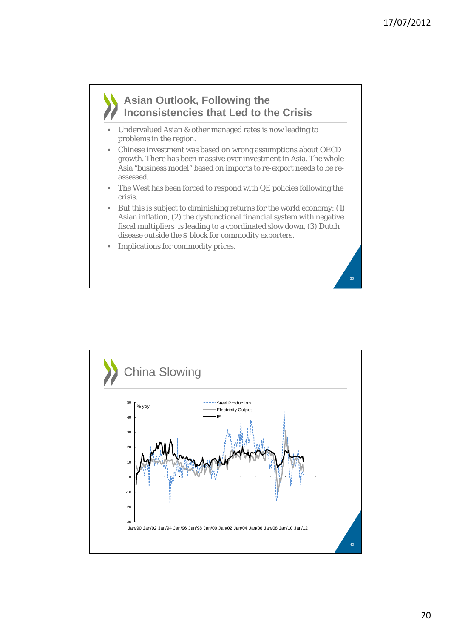#### **Asian Outlook, Following the Inconsistencies that Led to the Crisis**

- Undervalued Asian & other managed rates is now leading to problems in the region.
- Chinese investment was based on wrong assumptions about OECD growth. There has been massive over investment in Asia. The whole Asia "business model" based on imports to re-export needs to be reassessed.
- The West has been forced to respond with QE policies following the crisis.
- But this is subject to diminishing returns for the world economy: (1) Asian inflation, (2) the dysfunctional financial system with negative fiscal multipliers is leading to a coordinated slow down, (3) Dutch disease outside the \$ block for commodity exporters.
- Implications for commodity prices.

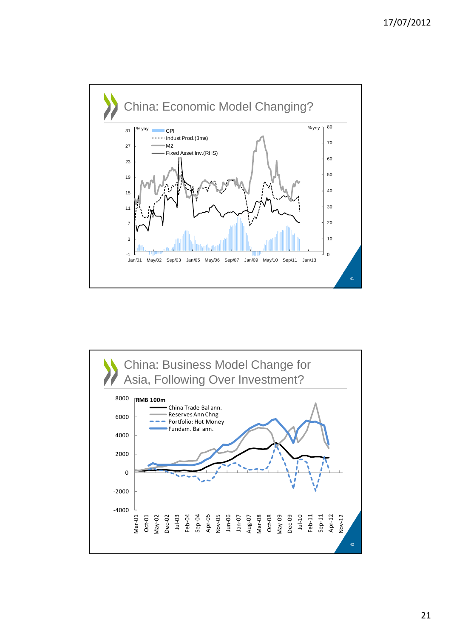

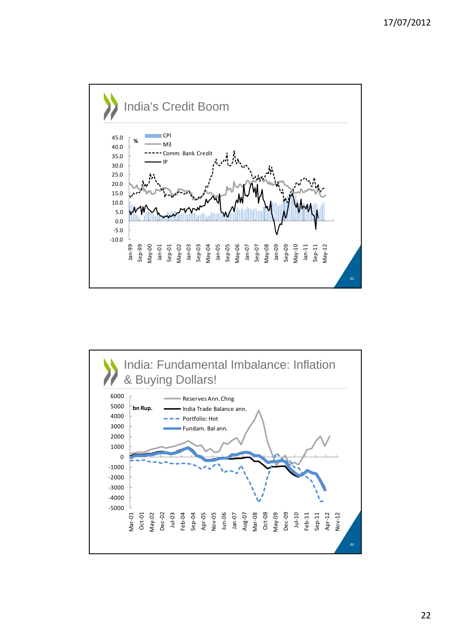

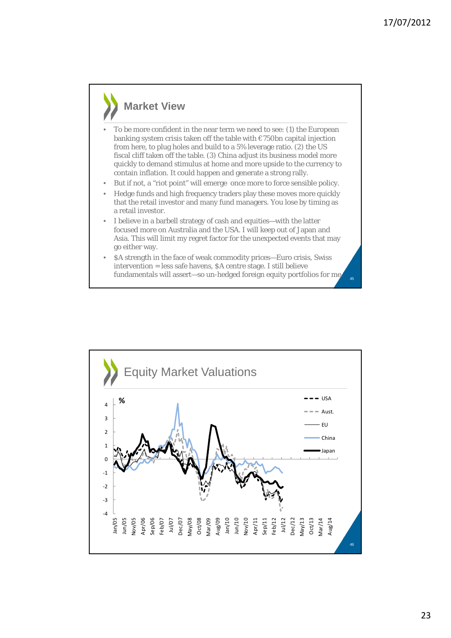#### **Market View**

- To be more confident in the near term we need to see: (1) the European banking system crisis taken off the table with  $\epsilon$ 750bn capital injection from here, to plug holes and build to a 5% leverage ratio. (2) the US fiscal cliff taken off the table. (3) China adjust its business model more quickly to demand stimulus at home and more upside to the currency to contain inflation. It could happen and generate a strong rally.
- But if not, a "riot point" will emerge once more to force sensible policy.
- Hedge funds and high frequency traders play these moves more quickly that the retail investor and many fund managers. You lose by timing as a retail investor.
- I believe in a barbell strategy of cash and equities—with the latter focused more on Australia and the USA. I will keep out of Japan and Asia. This will limit my regret factor for the unexpected events that may go either way.
- \$A strength in the face of weak commodity prices—Euro crisis, Swiss intervention = less safe havens, \$A centre stage. I still believe fundamentals will assert—so un-hedged foreign equity portfolios for me.

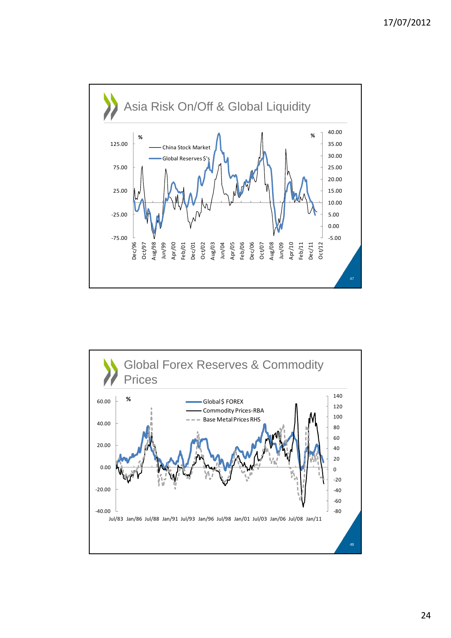

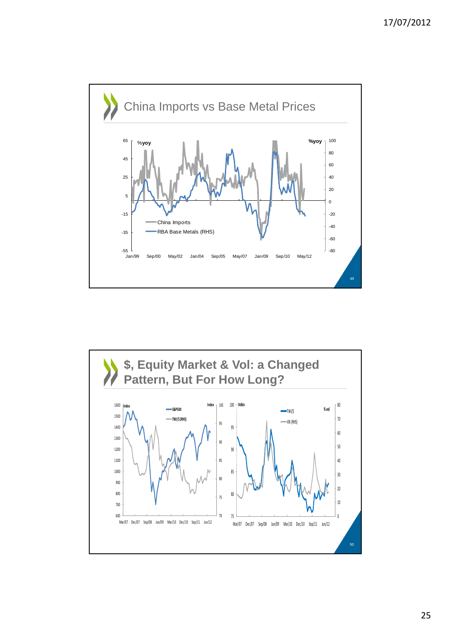